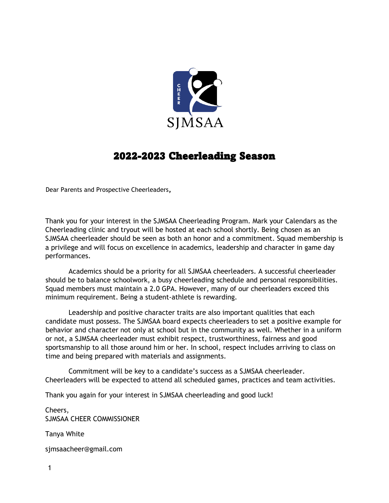

# 2022-2023 Cheerleading Season

Dear Parents and Prospective Cheerleaders**,** 

Thank you for your interest in the SJMSAA Cheerleading Program. Mark your Calendars as the Cheerleading clinic and tryout will be hosted at each school shortly. Being chosen as an SJMSAA cheerleader should be seen as both an honor and a commitment. Squad membership is a privilege and will focus on excellence in academics, leadership and character in game day performances.

Academics should be a priority for all SJMSAA cheerleaders. A successful cheerleader should be to balance schoolwork, a busy cheerleading schedule and personal responsibilities. Squad members must maintain a 2.0 GPA. However, many of our cheerleaders exceed this minimum requirement. Being a student-athlete is rewarding.

Leadership and positive character traits are also important qualities that each candidate must possess. The SJMSAA board expects cheerleaders to set a positive example for behavior and character not only at school but in the community as well. Whether in a uniform or not, a SJMSAA cheerleader must exhibit respect, trustworthiness, fairness and good sportsmanship to all those around him or her. In school, respect includes arriving to class on time and being prepared with materials and assignments.

Commitment will be key to a candidate's success as a SJMSAA cheerleader. Cheerleaders will be expected to attend all scheduled games, practices and team activities.

Thank you again for your interest in SJMSAA cheerleading and good luck!

Cheers, SJMSAA CHEER COMMISSIONER

Tanya White

sjmsaacheer@gmail.com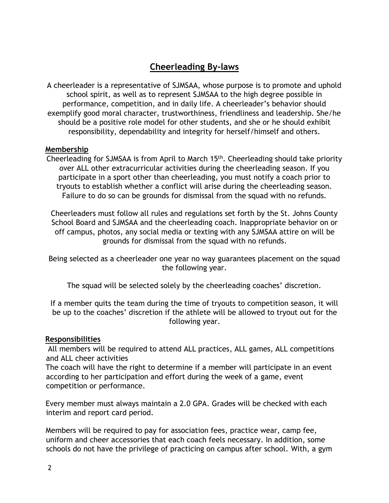# **Cheerleading By-laws**

A cheerleader is a representative of SJMSAA, whose purpose is to promote and uphold school spirit, as well as to represent SJMSAA to the high degree possible in performance, competition, and in daily life. A cheerleader's behavior should exemplify good moral character, trustworthiness, friendliness and leadership. She/he should be a positive role model for other students, and she or he should exhibit responsibility, dependability and integrity for herself/himself and others.

#### **Membership**

Cheerleading for SJMSAA is from April to March 15th. Cheerleading should take priority over ALL other extracurricular activities during the cheerleading season. If you participate in a sport other than cheerleading, you must notify a coach prior to tryouts to establish whether a conflict will arise during the cheerleading season. Failure to do so can be grounds for dismissal from the squad with no refunds.

Cheerleaders must follow all rules and regulations set forth by the St. Johns County School Board and SJMSAA and the cheerleading coach. Inappropriate behavior on or off campus, photos, any social media or texting with any SJMSAA attire on will be grounds for dismissal from the squad with no refunds.

Being selected as a cheerleader one year no way guarantees placement on the squad the following year.

The squad will be selected solely by the cheerleading coaches' discretion.

If a member quits the team during the time of tryouts to competition season, it will be up to the coaches' discretion if the athlete will be allowed to tryout out for the following year.

#### **Responsibilities**

All members will be required to attend ALL practices, ALL games, ALL competitions and ALL cheer activities

The coach will have the right to determine if a member will participate in an event according to her participation and effort during the week of a game, event competition or performance.

Every member must always maintain a 2.0 GPA. Grades will be checked with each interim and report card period.

Members will be required to pay for association fees, practice wear, camp fee, uniform and cheer accessories that each coach feels necessary. In addition, some schools do not have the privilege of practicing on campus after school. With, a gym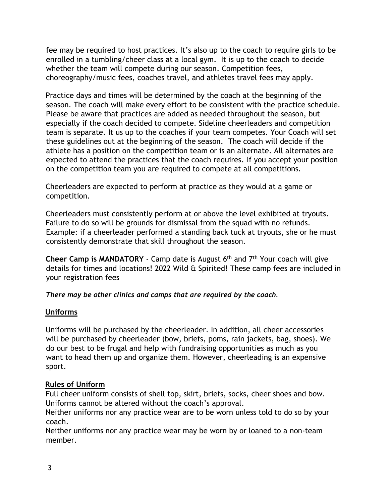fee may be required to host practices. It's also up to the coach to require girls to be enrolled in a tumbling/cheer class at a local gym. It is up to the coach to decide whether the team will compete during our season. Competition fees, choreography/music fees, coaches travel, and athletes travel fees may apply.

Practice days and times will be determined by the coach at the beginning of the season. The coach will make every effort to be consistent with the practice schedule. Please be aware that practices are added as needed throughout the season, but especially if the coach decided to compete. Sideline cheerleaders and competition team is separate. It us up to the coaches if your team competes. Your Coach will set these guidelines out at the beginning of the season. The coach will decide if the athlete has a position on the competition team or is an alternate. All alternates are expected to attend the practices that the coach requires. If you accept your position on the competition team you are required to compete at all competitions.

Cheerleaders are expected to perform at practice as they would at a game or competition.

Cheerleaders must consistently perform at or above the level exhibited at tryouts. Failure to do so will be grounds for dismissal from the squad with no refunds. Example: if a cheerleader performed a standing back tuck at tryouts, she or he must consistently demonstrate that skill throughout the season.

**Cheer Camp is MANDATORY** - Camp date is August 6<sup>th</sup> and 7<sup>th</sup> Your coach will give details for times and locations! 2022 Wild & Spirited! These camp fees are included in your registration fees

*There may be other clinics and camps that are required by the coach.*

## **Uniforms**

Uniforms will be purchased by the cheerleader. In addition, all cheer accessories will be purchased by cheerleader (bow, briefs, poms, rain jackets, bag, shoes). We do our best to be frugal and help with fundraising opportunities as much as you want to head them up and organize them. However, cheerleading is an expensive sport.

#### **Rules of Uniform**

Full cheer uniform consists of shell top, skirt, briefs, socks, cheer shoes and bow. Uniforms cannot be altered without the coach's approval.

Neither uniforms nor any practice wear are to be worn unless told to do so by your coach.

Neither uniforms nor any practice wear may be worn by or loaned to a non-team member.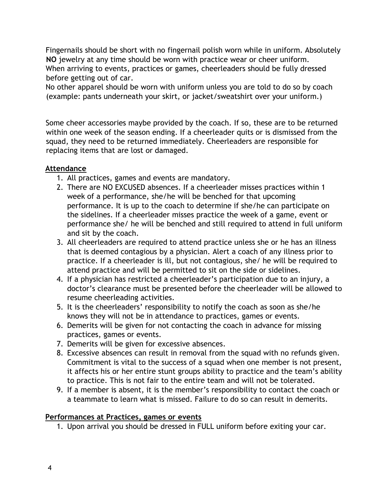Fingernails should be short with no fingernail polish worn while in uniform. Absolutely **NO** jewelry at any time should be worn with practice wear or cheer uniform. When arriving to events, practices or games, cheerleaders should be fully dressed before getting out of car.

No other apparel should be worn with uniform unless you are told to do so by coach (example: pants underneath your skirt, or jacket/sweatshirt over your uniform.)

Some cheer accessories maybe provided by the coach. If so, these are to be returned within one week of the season ending. If a cheerleader quits or is dismissed from the squad, they need to be returned immediately. Cheerleaders are responsible for replacing items that are lost or damaged.

#### **Attendance**

- 1. All practices, games and events are mandatory.
- 2. There are NO EXCUSED absences. If a cheerleader misses practices within 1 week of a performance, she/he will be benched for that upcoming performance. It is up to the coach to determine if she/he can participate on the sidelines. If a cheerleader misses practice the week of a game, event or performance she/ he will be benched and still required to attend in full uniform and sit by the coach.
- 3. All cheerleaders are required to attend practice unless she or he has an illness that is deemed contagious by a physician. Alert a coach of any illness prior to practice. If a cheerleader is ill, but not contagious, she/ he will be required to attend practice and will be permitted to sit on the side or sidelines.
- 4. If a physician has restricted a cheerleader's participation due to an injury, a doctor's clearance must be presented before the cheerleader will be allowed to resume cheerleading activities.
- 5. It is the cheerleaders' responsibility to notify the coach as soon as she/he knows they will not be in attendance to practices, games or events.
- 6. Demerits will be given for not contacting the coach in advance for missing practices, games or events.
- 7. Demerits will be given for excessive absences.
- 8. Excessive absences can result in removal from the squad with no refunds given. Commitment is vital to the success of a squad when one member is not present, it affects his or her entire stunt groups ability to practice and the team's ability to practice. This is not fair to the entire team and will not be tolerated.
- 9. If a member is absent, it is the member's responsibility to contact the coach or a teammate to learn what is missed. Failure to do so can result in demerits.

#### **Performances at Practices, games or events**

1. Upon arrival you should be dressed in FULL uniform before exiting your car.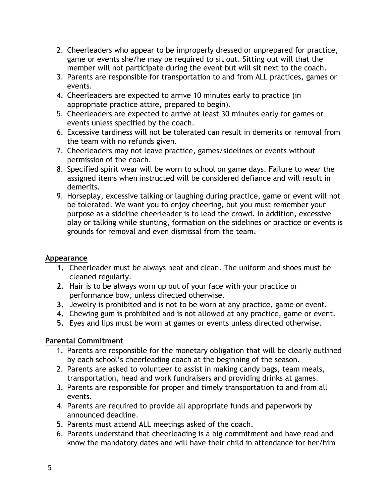- 2. Cheerleaders who appear to be improperly dressed or unprepared for practice, game or events she/he may be required to sit out. Sitting out will that the member will not participate during the event but will sit next to the coach.
- 3. Parents are responsible for transportation to and from ALL practices, games or events.
- 4. Cheerleaders are expected to arrive 10 minutes early to practice (in appropriate practice attire, prepared to begin).
- 5. Cheerleaders are expected to arrive at least 30 minutes early for games or events unless specified by the coach.
- 6. Excessive tardiness will not be tolerated can result in demerits or removal from the team with no refunds given.
- 7. Cheerleaders may not leave practice, games/sidelines or events without permission of the coach.
- 8. Specified spirit wear will be worn to school on game days. Failure to wear the assigned items when instructed will be considered defiance and will result in demerits.
- 9. Horseplay, excessive talking or laughing during practice, game or event will not be tolerated. We want you to enjoy cheering, but you must remember your purpose as a sideline cheerleader is to lead the crowd. In addition, excessive play or talking while stunting, formation on the sidelines or practice or events is grounds for removal and even dismissal from the team.

#### **Appearance**

- **1.** Cheerleader must be always neat and clean. The uniform and shoes must be cleaned regularly.
- **2.** Hair is to be always worn up out of your face with your practice or performance bow, unless directed otherwise.
- **3.** Jewelry is prohibited and is not to be worn at any practice, game or event.
- **4.** Chewing gum is prohibited and is not allowed at any practice, game or event.
- **5.** Eyes and lips must be worn at games or events unless directed otherwise.

#### **Parental Commitment**

- 1. Parents are responsible for the monetary obligation that will be clearly outlined by each school's cheerleading coach at the beginning of the season.
- 2. Parents are asked to volunteer to assist in making candy bags, team meals, transportation, head and work fundraisers and providing drinks at games.
- 3. Parents are responsible for proper and timely transportation to and from all events.
- 4. Parents are required to provide all appropriate funds and paperwork by announced deadline.
- 5. Parents must attend ALL meetings asked of the coach.
- 6. Parents understand that cheerleading is a big commitment and have read and know the mandatory dates and will have their child in attendance for her/him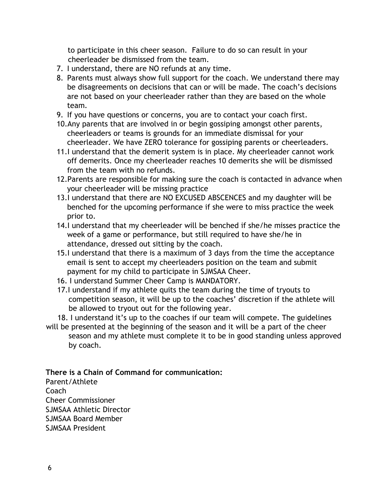to participate in this cheer season. Failure to do so can result in your cheerleader be dismissed from the team.

- 7. I understand, there are NO refunds at any time.
- 8. Parents must always show full support for the coach. We understand there may be disagreements on decisions that can or will be made. The coach's decisions are not based on your cheerleader rather than they are based on the whole team.
- 9. If you have questions or concerns, you are to contact your coach first.
- 10.Any parents that are involved in or begin gossiping amongst other parents, cheerleaders or teams is grounds for an immediate dismissal for your cheerleader. We have ZERO tolerance for gossiping parents or cheerleaders.
- 11.I understand that the demerit system is in place. My cheerleader cannot work off demerits. Once my cheerleader reaches 10 demerits she will be dismissed from the team with no refunds.
- 12.Parents are responsible for making sure the coach is contacted in advance when your cheerleader will be missing practice
- 13.I understand that there are NO EXCUSED ABSCENCES and my daughter will be benched for the upcoming performance if she were to miss practice the week prior to.
- 14.I understand that my cheerleader will be benched if she/he misses practice the week of a game or performance, but still required to have she/he in attendance, dressed out sitting by the coach.
- 15.I understand that there is a maximum of 3 days from the time the acceptance email is sent to accept my cheerleaders position on the team and submit payment for my child to participate in SJMSAA Cheer.
- 16. I understand Summer Cheer Camp is MANDATORY.
- 17.I understand if my athlete quits the team during the time of tryouts to competition season, it will be up to the coaches' discretion if the athlete will be allowed to tryout out for the following year.

18. I understand it's up to the coaches if our team will compete. The guidelines will be presented at the beginning of the season and it will be a part of the cheer season and my athlete must complete it to be in good standing unless approved

by coach.

**There is a Chain of Command for communication:**

Parent/Athlete Coach Cheer Commissioner SJMSAA Athletic Director SJMSAA Board Member SJMSAA President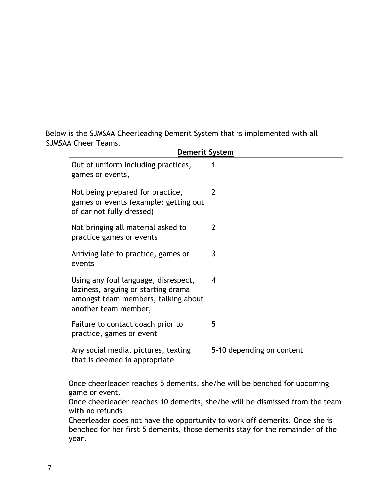Below is the SJMSAA Cheerleading Demerit System that is implemented with all SJMSAA Cheer Teams.

| Out of uniform including practices,<br>games or events,                                                                                    |                           |
|--------------------------------------------------------------------------------------------------------------------------------------------|---------------------------|
| Not being prepared for practice,<br>games or events (example: getting out<br>of car not fully dressed)                                     | $\overline{2}$            |
| Not bringing all material asked to<br>practice games or events                                                                             | $\overline{2}$            |
| Arriving late to practice, games or<br>events                                                                                              | 3                         |
| Using any foul language, disrespect,<br>laziness, arguing or starting drama<br>amongst team members, talking about<br>another team member, | 4                         |
| Failure to contact coach prior to<br>practice, games or event                                                                              | 5                         |
| Any social media, pictures, texting<br>that is deemed in appropriate                                                                       | 5-10 depending on content |

### **Demerit System**

Once cheerleader reaches 5 demerits, she/he will be benched for upcoming game or event.

Once cheerleader reaches 10 demerits, she/he will be dismissed from the team with no refunds

Cheerleader does not have the opportunity to work off demerits. Once she is benched for her first 5 demerits, those demerits stay for the remainder of the year.